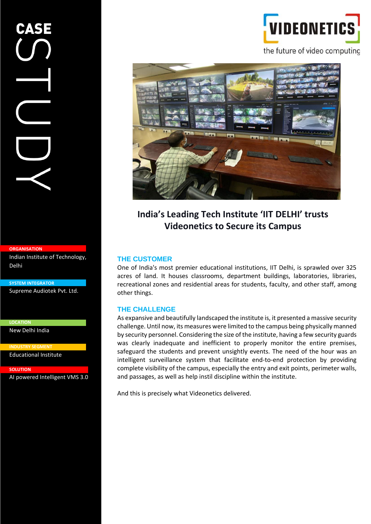#### **ORGANISATION**

Indian Institute of Technology, Delhi

#### **SYSTEM INTEGRATOR**

Supreme Audiotek Pvt. Ltd.

**LOCATION** New Delhi India

**INDUSTRY SEGMENT** Educational Institute

**SOLUTION**

**SOLUTION**<br>AI powered Intelligent VMS 3.0



**VIDEONETICS** 

**India's Leading Tech Institute 'IIT DELHI' trusts Videonetics to Secure its Campus** 

## **THE CUSTOMER**

One of India's most premier educational institutions, IIT Delhi, is sprawled over 325 acres of land. It houses classrooms, department buildings, laboratories, libraries, recreational zones and residential areas for students, faculty, and other staff, among other things.

#### **THE CHALLENGE**

As expansive and beautifully landscaped the institute is, it presented a massive security challenge. Until now, its measures were limited to the campus being physically manned by security personnel. Considering the size of the institute, having a few security guards was clearly inadequate and inefficient to properly monitor the entire premises, safeguard the students and prevent unsightly events. The need of the hour was an intelligent surveillance system that facilitate end-to-end protection by providing complete visibility of the campus, especially the entry and exit points, perimeter walls, and passages, as well as help instil discipline within the institute.

And this is precisely what Videonetics delivered.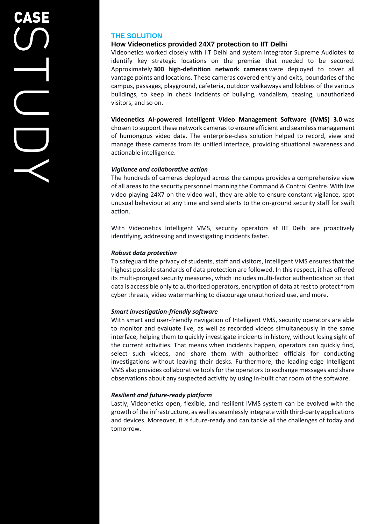# **THE SOLUTION**

# **How Videonetics provided 24X7 protection to IIT Delhi**

Videonetics worked closely with IIT Delhi and system integrator Supreme Audiotek to identify key strategic locations on the premise that needed to be secured. Approximately **300 high-definition network cameras** were deployed to cover all vantage points and locations. These cameras covered entry and exits, boundaries of the campus, passages, playground, cafeteria, outdoor walkaways and lobbies of the various buildings, to keep in check incidents of bullying, vandalism, teasing, unauthorized visitors, and so on.

**Videonetics AI-powered Intelligent Video Management Software (IVMS) 3.0** was chosen to support these network cameras to ensure efficient and seamless management of humongous video data. The enterprise-class solution helped to record, view and manage these cameras from its unified interface, providing situational awareness and actionable intelligence.

## *Vigilance and collaborative action*

The hundreds of cameras deployed across the campus provides a comprehensive view of all areas to the security personnel manning the Command & Control Centre. With live video playing 24X7 on the video wall, they are able to ensure constant vigilance, spot unusual behaviour at any time and send alerts to the on-ground security staff for swift action.

With Videonetics Intelligent VMS, security operators at IIT Delhi are proactively identifying, addressing and investigating incidents faster.

## *Robust data protection*

To safeguard the privacy of students, staff and visitors, Intelligent VMS ensures that the highest possible standards of data protection are followed. In this respect, it has offered its multi-pronged security measures, which includes multi-factor authentication so that data is accessible only to authorized operators, encryption of data at rest to protect from cyber threats, video watermarking to discourage unauthorized use, and more.

#### *Smart investigation-friendly software*

With smart and user-friendly navigation of Intelligent VMS, security operators are able to monitor and evaluate live, as well as recorded videos simultaneously in the same interface, helping them to quickly investigate incidents in history, without losing sight of the current activities. That means when incidents happen, operators can quickly find, select such videos, and share them with authorized officials for conducting investigations without leaving their desks. Furthermore, the leading-edge Intelligent VMS also provides collaborative tools for the operators to exchange messages and share observations about any suspected activity by using in-built chat room of the software.

## *Resilient and future-ready platform*

Lastly, Videonetics open, flexible, and resilient IVMS system can be evolved with the growth of the infrastructure, as well as seamlessly integrate with third-party applications and devices. Moreover, it is future-ready and can tackle all the challenges of today and tomorrow.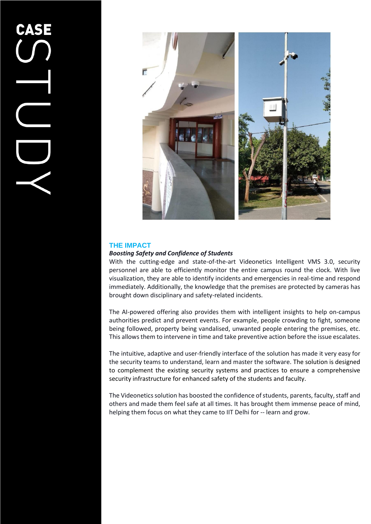

# **THE IMPACT**

## *Boosting Safety and Confidence of Students*

With the cutting-edge and state-of-the-art Videonetics Intelligent VMS 3.0, security personnel are able to efficiently monitor the entire campus round the clock. With live visualization, they are able to identify incidents and emergencies in real-time and respond immediately. Additionally, the knowledge that the premises are protected by cameras has brought down disciplinary and safety-related incidents.

The AI-powered offering also provides them with intelligent insights to help on-campus authorities predict and prevent events. For example, people crowding to fight, someone being followed, property being vandalised, unwanted people entering the premises, etc. This allows them to intervene in time and take preventive action before the issue escalates.

The intuitive, adaptive and user-friendly interface of the solution has made it very easy for the security teams to understand, learn and master the software. The solution is designed to complement the existing security systems and practices to ensure a comprehensive security infrastructure for enhanced safety of the students and faculty.

The Videonetics solution has boosted the confidence of students, parents, faculty, staff and others and made them feel safe at all times. It has brought them immense peace of mind, helping them focus on what they came to IIT Delhi for -- learn and grow.